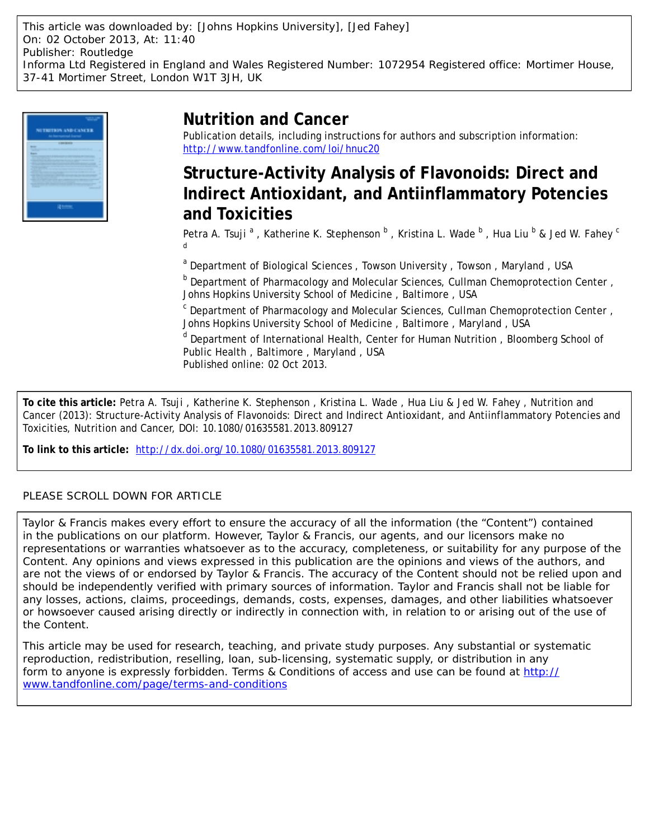This article was downloaded by: [Johns Hopkins University], [Jed Fahey] On: 02 October 2013, At: 11:40 Publisher: Routledge Informa Ltd Registered in England and Wales Registered Number: 1072954 Registered office: Mortimer House, 37-41 Mortimer Street, London W1T 3JH, UK



# **Nutrition and Cancer**

Publication details, including instructions for authors and subscription information: <http://www.tandfonline.com/loi/hnuc20>

# **Structure-Activity Analysis of Flavonoids: Direct and Indirect Antioxidant, and Antiinflammatory Potencies and Toxicities**

Petra A. Tsuji  $^{\rm a}$  , Katherine K. Stephenson  $^{\rm b}$  , Kristina L. Wade  $^{\rm b}$  , Hua Liu  $^{\rm b}$  & Jed W. Fahey  $^{\rm c}$ d

<sup>a</sup> Department of Biological Sciences, Towson University, Towson, Maryland, USA

<sup>b</sup> Department of Pharmacology and Molecular Sciences, Cullman Chemoprotection Center, Johns Hopkins University School of Medicine , Baltimore , USA

<sup>c</sup> Department of Pharmacology and Molecular Sciences, Cullman Chemoprotection Center, Johns Hopkins University School of Medicine , Baltimore , Maryland , USA

<sup>d</sup> Department of International Health, Center for Human Nutrition, Bloomberg School of Public Health , Baltimore , Maryland , USA Published online: 02 Oct 2013.

**To cite this article:** Petra A. Tsuji , Katherine K. Stephenson , Kristina L. Wade , Hua Liu & Jed W. Fahey , Nutrition and Cancer (2013): Structure-Activity Analysis of Flavonoids: Direct and Indirect Antioxidant, and Antiinflammatory Potencies and Toxicities, Nutrition and Cancer, DOI: 10.1080/01635581.2013.809127

**To link to this article:** <http://dx.doi.org/10.1080/01635581.2013.809127>

# PLEASE SCROLL DOWN FOR ARTICLE

Taylor & Francis makes every effort to ensure the accuracy of all the information (the "Content") contained in the publications on our platform. However, Taylor & Francis, our agents, and our licensors make no representations or warranties whatsoever as to the accuracy, completeness, or suitability for any purpose of the Content. Any opinions and views expressed in this publication are the opinions and views of the authors, and are not the views of or endorsed by Taylor & Francis. The accuracy of the Content should not be relied upon and should be independently verified with primary sources of information. Taylor and Francis shall not be liable for any losses, actions, claims, proceedings, demands, costs, expenses, damages, and other liabilities whatsoever or howsoever caused arising directly or indirectly in connection with, in relation to or arising out of the use of the Content.

This article may be used for research, teaching, and private study purposes. Any substantial or systematic reproduction, redistribution, reselling, loan, sub-licensing, systematic supply, or distribution in any form to anyone is expressly forbidden. Terms & Conditions of access and use can be found at [http://](http://www.tandfonline.com/page/terms-and-conditions) [www.tandfonline.com/page/terms-and-conditions](http://www.tandfonline.com/page/terms-and-conditions)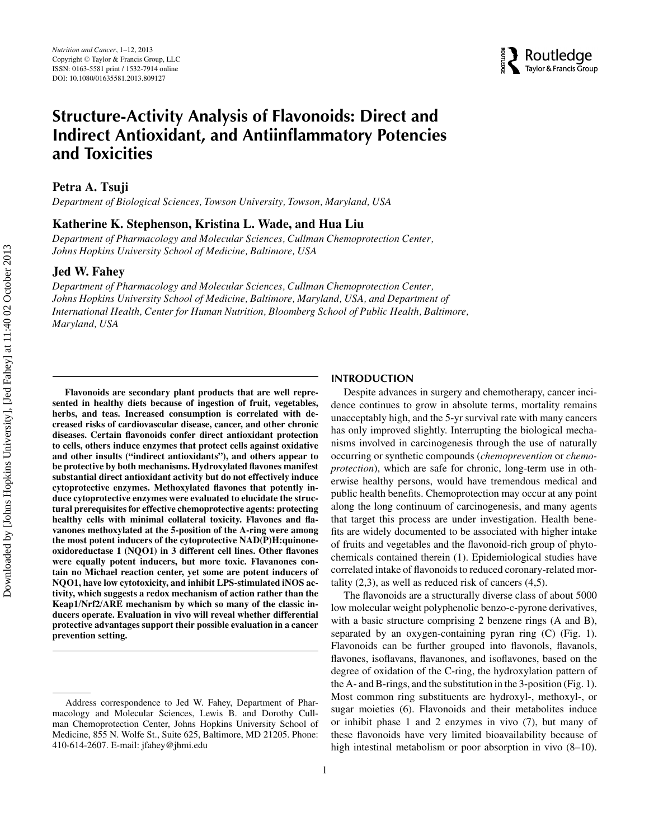

# **Structure-Activity Analysis of Flavonoids: Direct and Indirect Antioxidant, and Antiinflammatory Potencies and Toxicities**

# **Petra A. Tsuji**

*Department of Biological Sciences, Towson University, Towson, Maryland, USA*

# **Katherine K. Stephenson, Kristina L. Wade, and Hua Liu**

*Department of Pharmacology and Molecular Sciences, Cullman Chemoprotection Center, Johns Hopkins University School of Medicine, Baltimore, USA*

# **Jed W. Fahey**

*Department of Pharmacology and Molecular Sciences, Cullman Chemoprotection Center, Johns Hopkins University School of Medicine, Baltimore, Maryland, USA, and Department of International Health, Center for Human Nutrition, Bloomberg School of Public Health, Baltimore, Maryland, USA*

**Flavonoids are secondary plant products that are well represented in healthy diets because of ingestion of fruit, vegetables, herbs, and teas. Increased consumption is correlated with decreased risks of cardiovascular disease, cancer, and other chronic diseases. Certain flavonoids confer direct antioxidant protection to cells, others induce enzymes that protect cells against oxidative and other insults ("indirect antioxidants"), and others appear to be protective by both mechanisms. Hydroxylated flavones manifest substantial direct antioxidant activity but do not effectively induce cytoprotective enzymes. Methoxylated flavones that potently induce cytoprotective enzymes were evaluated to elucidate the structural prerequisites for effective chemoprotective agents: protecting healthy cells with minimal collateral toxicity. Flavones and flavanones methoxylated at the 5-position of the A-ring were among the most potent inducers of the cytoprotective NAD(P)H:quinoneoxidoreductase 1 (NQO1) in 3 different cell lines. Other flavones were equally potent inducers, but more toxic. Flavanones contain no Michael reaction center, yet some are potent inducers of NQO1, have low cytotoxicity, and inhibit LPS-stimulated iNOS activity, which suggests a redox mechanism of action rather than the Keap1/Nrf2/ARE mechanism by which so many of the classic inducers operate. Evaluation in vivo will reveal whether differential protective advantages support their possible evaluation in a cancer prevention setting.**

# **INTRODUCTION**

Despite advances in surgery and chemotherapy, cancer incidence continues to grow in absolute terms, mortality remains unacceptably high, and the 5-yr survival rate with many cancers has only improved slightly. Interrupting the biological mechanisms involved in carcinogenesis through the use of naturally occurring or synthetic compounds (*chemoprevention* or *chemoprotection*), which are safe for chronic, long-term use in otherwise healthy persons, would have tremendous medical and public health benefits. Chemoprotection may occur at any point along the long continuum of carcinogenesis, and many agents that target this process are under investigation. Health benefits are widely documented to be associated with higher intake of fruits and vegetables and the flavonoid-rich group of phytochemicals contained therein (1). Epidemiological studies have correlated intake of flavonoids to reduced coronary-related mortality  $(2,3)$ , as well as reduced risk of cancers  $(4,5)$ .

The flavonoids are a structurally diverse class of about 5000 low molecular weight polyphenolic benzo-c-pyrone derivatives, with a basic structure comprising 2 benzene rings (A and B), separated by an oxygen-containing pyran ring (C) (Fig. 1). Flavonoids can be further grouped into flavonols, flavanols, flavones, isoflavans, flavanones, and isoflavones, based on the degree of oxidation of the C-ring, the hydroxylation pattern of the A- and B-rings, and the substitution in the 3-position (Fig. 1). Most common ring substituents are hydroxyl-, methoxyl-, or sugar moieties (6). Flavonoids and their metabolites induce or inhibit phase 1 and 2 enzymes in vivo (7), but many of these flavonoids have very limited bioavailability because of high intestinal metabolism or poor absorption in vivo  $(8-10)$ .

Address correspondence to Jed W. Fahey, Department of Pharmacology and Molecular Sciences, Lewis B. and Dorothy Cullman Chemoprotection Center, Johns Hopkins University School of Medicine, 855 N. Wolfe St., Suite 625, Baltimore, MD 21205. Phone: 410-614-2607. E-mail: jfahey@jhmi.edu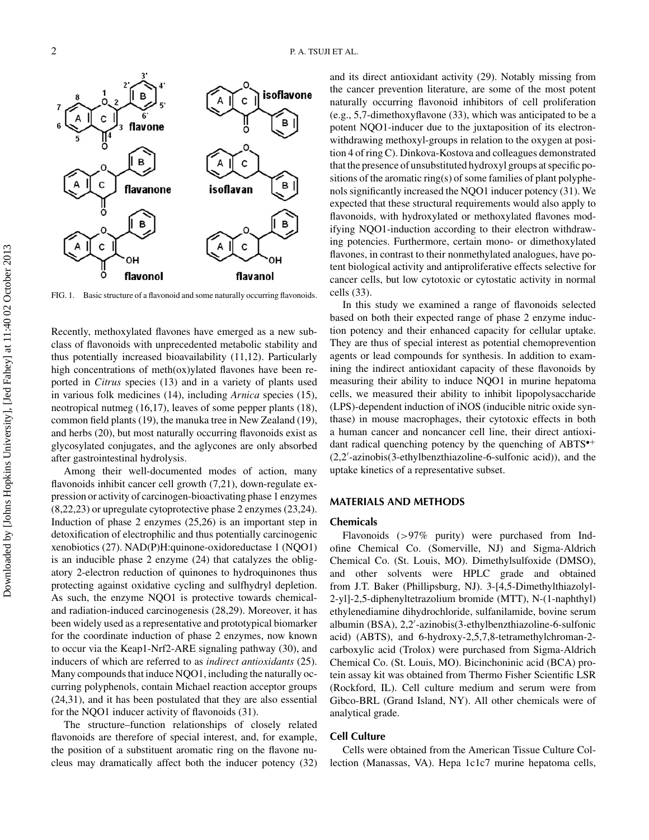

FIG. 1. Basic structure of a flavonoid and some naturally occurring flavonoids.

Recently, methoxylated flavones have emerged as a new subclass of flavonoids with unprecedented metabolic stability and thus potentially increased bioavailability (11,12). Particularly high concentrations of meth(ox)ylated flavones have been reported in *Citrus* species (13) and in a variety of plants used in various folk medicines (14), including *Arnica* species (15), neotropical nutmeg (16,17), leaves of some pepper plants (18), common field plants (19), the manuka tree in New Zealand (19), and herbs (20), but most naturally occurring flavonoids exist as glycosylated conjugates, and the aglycones are only absorbed after gastrointestinal hydrolysis.

Among their well-documented modes of action, many flavonoids inhibit cancer cell growth  $(7,21)$ , down-regulate expression or activity of carcinogen-bioactivating phase 1 enzymes (8,22,23) or upregulate cytoprotective phase 2 enzymes (23,24). Induction of phase 2 enzymes (25,26) is an important step in detoxification of electrophilic and thus potentially carcinogenic xenobiotics (27). NAD(P)H:quinone-oxidoreductase 1 (NQO1) is an inducible phase 2 enzyme (24) that catalyzes the obligatory 2-electron reduction of quinones to hydroquinones thus protecting against oxidative cycling and sulfhydryl depletion. As such, the enzyme NQO1 is protective towards chemicaland radiation-induced carcinogenesis (28,29). Moreover, it has been widely used as a representative and prototypical biomarker for the coordinate induction of phase 2 enzymes, now known to occur via the Keap1-Nrf2-ARE signaling pathway (30), and inducers of which are referred to as *indirect antioxidants* (25). Many compounds that induce NQO1, including the naturally occurring polyphenols, contain Michael reaction acceptor groups (24,31), and it has been postulated that they are also essential for the NQO1 inducer activity of flavonoids (31).

The structure–function relationships of closely related flavonoids are therefore of special interest, and, for example, the position of a substituent aromatic ring on the flavone nucleus may dramatically affect both the inducer potency (32) and its direct antioxidant activity (29). Notably missing from the cancer prevention literature, are some of the most potent naturally occurring flavonoid inhibitors of cell proliferation (e.g., 5,7-dimethoxyflavone (33), which was anticipated to be a potent NQO1-inducer due to the juxtaposition of its electronwithdrawing methoxyl-groups in relation to the oxygen at position 4 of ring C). Dinkova-Kostova and colleagues demonstrated that the presence of unsubstituted hydroxyl groups at specific positions of the aromatic ring(s) of some families of plant polyphenols significantly increased the NQO1 inducer potency (31). We expected that these structural requirements would also apply to flavonoids, with hydroxylated or methoxylated flavones modifying NQO1-induction according to their electron withdrawing potencies. Furthermore, certain mono- or dimethoxylated flavones, in contrast to their nonmethylated analogues, have potent biological activity and antiproliferative effects selective for cancer cells, but low cytotoxic or cytostatic activity in normal cells (33).

In this study we examined a range of flavonoids selected based on both their expected range of phase 2 enzyme induction potency and their enhanced capacity for cellular uptake. They are thus of special interest as potential chemoprevention agents or lead compounds for synthesis. In addition to examining the indirect antioxidant capacity of these flavonoids by measuring their ability to induce NQO1 in murine hepatoma cells, we measured their ability to inhibit lipopolysaccharide (LPS)-dependent induction of iNOS (inducible nitric oxide synthase) in mouse macrophages, their cytotoxic effects in both a human cancer and noncancer cell line, their direct antioxidant radical quenching potency by the quenching of ABTS<sup>•+</sup> (2,2 -azinobis(3-ethylbenzthiazoline-6-sulfonic acid)), and the uptake kinetics of a representative subset.

# **MATERIALS AND METHODS**

#### **Chemicals**

Flavonoids (>97% purity) were purchased from Indofine Chemical Co. (Somerville, NJ) and Sigma-Aldrich Chemical Co. (St. Louis, MO). Dimethylsulfoxide (DMSO), and other solvents were HPLC grade and obtained from J.T. Baker (Phillipsburg, NJ). 3-[4,5-Dimethylthiazolyl-2-yl]-2,5-diphenyltetrazolium bromide (MTT), N-(1-naphthyl) ethylenediamine dihydrochloride, sulfanilamide, bovine serum albumin (BSA), 2,2 -azinobis(3-ethylbenzthiazoline-6-sulfonic acid) (ABTS), and 6-hydroxy-2,5,7,8-tetramethylchroman-2 carboxylic acid (Trolox) were purchased from Sigma-Aldrich Chemical Co. (St. Louis, MO). Bicinchoninic acid (BCA) protein assay kit was obtained from Thermo Fisher Scientific LSR (Rockford, IL). Cell culture medium and serum were from Gibco-BRL (Grand Island, NY). All other chemicals were of analytical grade.

#### **Cell Culture**

Cells were obtained from the American Tissue Culture Collection (Manassas, VA). Hepa 1c1c7 murine hepatoma cells,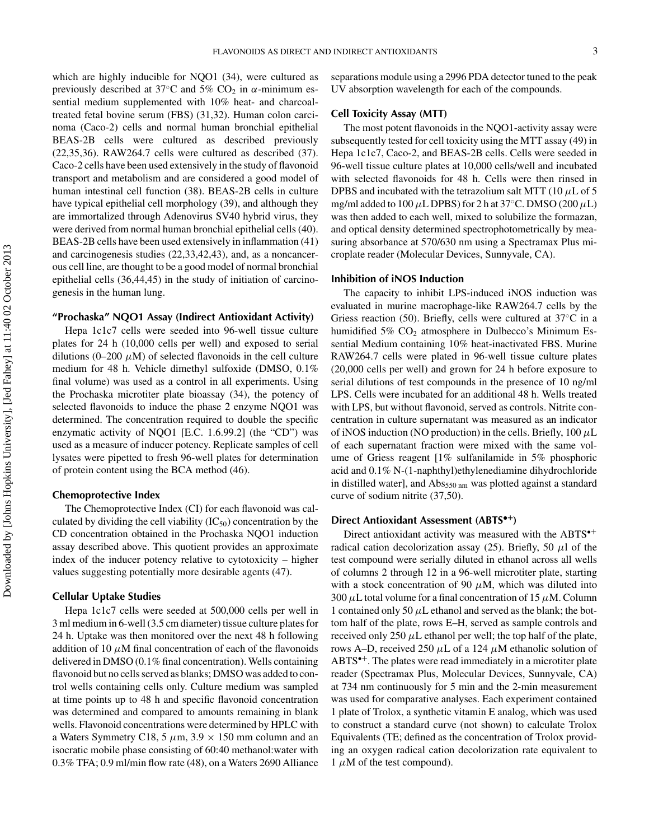which are highly inducible for NQO1 (34), were cultured as previously described at 37 $\degree$ C and 5% CO<sub>2</sub> in  $\alpha$ -minimum essential medium supplemented with 10% heat- and charcoaltreated fetal bovine serum (FBS) (31,32). Human colon carcinoma (Caco-2) cells and normal human bronchial epithelial BEAS-2B cells were cultured as described previously (22,35,36). RAW264.7 cells were cultured as described (37). Caco-2 cells have been used extensively in the study of flavonoid transport and metabolism and are considered a good model of human intestinal cell function (38). BEAS-2B cells in culture have typical epithelial cell morphology (39), and although they are immortalized through Adenovirus SV40 hybrid virus, they were derived from normal human bronchial epithelial cells (40). BEAS-2B cells have been used extensively in inflammation (41) and carcinogenesis studies (22,33,42,43), and, as a noncancerous cell line, are thought to be a good model of normal bronchial epithelial cells (36,44,45) in the study of initiation of carcinogenesis in the human lung.

#### **"Prochaska" NQO1 Assay (Indirect Antioxidant Activity)**

Hepa 1c1c7 cells were seeded into 96-well tissue culture plates for 24 h (10,000 cells per well) and exposed to serial dilutions (0–200  $\mu$ M) of selected flavonoids in the cell culture medium for 48 h. Vehicle dimethyl sulfoxide (DMSO, 0.1% final volume) was used as a control in all experiments. Using the Prochaska microtiter plate bioassay (34), the potency of selected flavonoids to induce the phase 2 enzyme NQO1 was determined. The concentration required to double the specific enzymatic activity of NQO1 [E.C. 1.6.99.2] (the "CD") was used as a measure of inducer potency. Replicate samples of cell lysates were pipetted to fresh 96-well plates for determination of protein content using the BCA method (46).

#### **Chemoprotective Index**

The Chemoprotective Index (CI) for each flavonoid was calculated by dividing the cell viability  $(IC_{50})$  concentration by the CD concentration obtained in the Prochaska NQO1 induction assay described above. This quotient provides an approximate index of the inducer potency relative to cytotoxicity – higher values suggesting potentially more desirable agents (47).

### **Cellular Uptake Studies**

Hepa 1c1c7 cells were seeded at 500,000 cells per well in 3 ml medium in 6-well (3.5 cm diameter) tissue culture plates for 24 h. Uptake was then monitored over the next 48 h following addition of 10  $\mu$ M final concentration of each of the flavonoids delivered in DMSO (0.1% final concentration). Wells containing flavonoid but no cells served as blanks; DMSO was added to control wells containing cells only. Culture medium was sampled at time points up to 48 h and specific flavonoid concentration was determined and compared to amounts remaining in blank wells. Flavonoid concentrations were determined by HPLC with a Waters Symmetry C18, 5  $\mu$ m, 3.9  $\times$  150 mm column and an isocratic mobile phase consisting of 60:40 methanol:water with 0.3% TFA; 0.9 ml/min flow rate (48), on a Waters 2690 Alliance

separations module using a 2996 PDA detector tuned to the peak UV absorption wavelength for each of the compounds.

#### **Cell Toxicity Assay (MTT)**

The most potent flavonoids in the NQO1-activity assay were subsequently tested for cell toxicity using the MTT assay (49) in Hepa 1c1c7, Caco-2, and BEAS-2B cells. Cells were seeded in 96-well tissue culture plates at 10,000 cells/well and incubated with selected flavonoids for 48 h. Cells were then rinsed in DPBS and incubated with the tetrazolium salt MTT (10  $\mu$ L of 5 mg/ml added to 100  $\mu$ L DPBS) for 2 h at 37°C. DMSO (200  $\mu$ L) was then added to each well, mixed to solubilize the formazan, and optical density determined spectrophotometrically by measuring absorbance at 570/630 nm using a Spectramax Plus microplate reader (Molecular Devices, Sunnyvale, CA).

### **Inhibition of iNOS Induction**

The capacity to inhibit LPS-induced iNOS induction was evaluated in murine macrophage-like RAW264.7 cells by the Griess reaction (50). Briefly, cells were cultured at  $37^\circ$ C in a humidified  $5\%$  CO<sub>2</sub> atmosphere in Dulbecco's Minimum Essential Medium containing 10% heat-inactivated FBS. Murine RAW264.7 cells were plated in 96-well tissue culture plates (20,000 cells per well) and grown for 24 h before exposure to serial dilutions of test compounds in the presence of 10 ng/ml LPS. Cells were incubated for an additional 48 h. Wells treated with LPS, but without flavonoid, served as controls. Nitrite concentration in culture supernatant was measured as an indicator of iNOS induction (NO production) in the cells. Briefly,  $100 \mu L$ of each supernatant fraction were mixed with the same volume of Griess reagent [1% sulfanilamide in 5% phosphoric acid and 0.1% N-(1-naphthyl)ethylenediamine dihydrochloride in distilled water], and  $\text{Abs}_{550 \text{ nm}}$  was plotted against a standard curve of sodium nitrite (37,50).

#### **Direct Antioxidant Assessment (ABTS•+)**

Direct antioxidant activity was measured with the ABTS<sup>•+</sup> radical cation decolorization assay (25). Briefly, 50  $\mu$ l of the test compound were serially diluted in ethanol across all wells of columns 2 through 12 in a 96-well microtiter plate, starting with a stock concentration of 90  $\mu$ M, which was diluted into 300  $\mu$ L total volume for a final concentration of 15  $\mu$ M. Column 1 contained only 50  $\mu$ L ethanol and served as the blank; the bottom half of the plate, rows E–H, served as sample controls and received only 250  $\mu$ L ethanol per well; the top half of the plate, rows A–D, received 250  $\mu$ L of a 124  $\mu$ M ethanolic solution of ABTS<sup>\*+</sup>. The plates were read immediately in a microtiter plate reader (Spectramax Plus, Molecular Devices, Sunnyvale, CA) at 734 nm continuously for 5 min and the 2-min measurement was used for comparative analyses. Each experiment contained 1 plate of Trolox, a synthetic vitamin E analog, which was used to construct a standard curve (not shown) to calculate Trolox Equivalents (TE; defined as the concentration of Trolox providing an oxygen radical cation decolorization rate equivalent to  $1 \mu M$  of the test compound).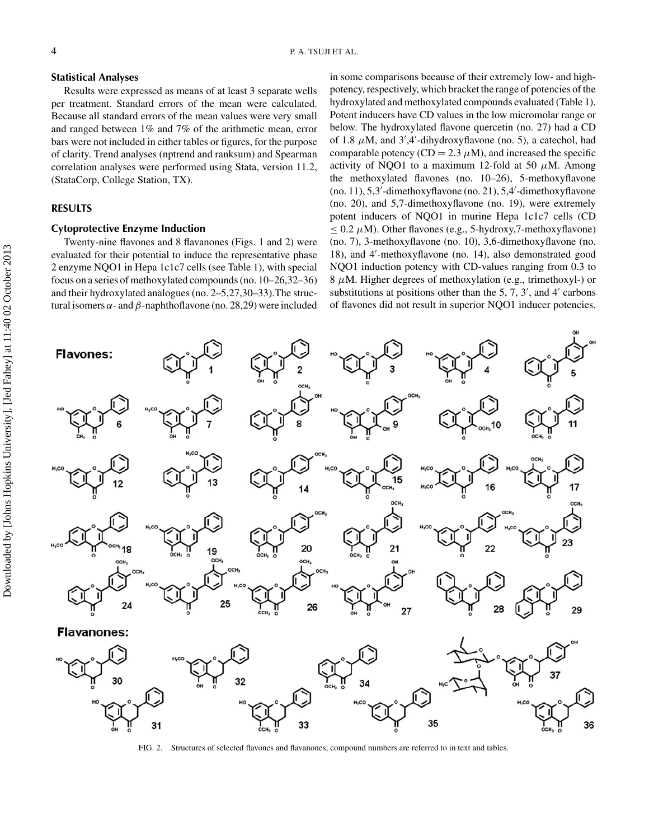#### **Statistical Analyses**

Results were expressed as means of at least 3 separate wells per treatment. Standard errors of the mean were calculated. Because all standard errors of the mean values were very small and ranged between 1% and 7% of the arithmetic mean, error bars were not included in either tables or figures, for the purpose of clarity. Trend analyses (nptrend and ranksum) and Spearman correlation analyses were performed using Stata, version 11.2, (StataCorp, College Station, TX).

## **RESULTS**

Downloaded by [Johns Hopkins University], [Jed Fahey] at 11:40 02 October 2013 Downloaded by [Johns Hopkins University], [Jed Fahey] at 11:40 02 October 2013

#### **Cytoprotective Enzyme Induction**

Twenty-nine flavones and 8 flavanones (Figs. 1 and 2) were evaluated for their potential to induce the representative phase 2 enzyme NQO1 in Hepa 1c1c7 cells (see Table 1), with special focus on a series of methoxylated compounds (no. 10–26,32–36) and their hydroxylated analogues (no. 2–5,27,30–33).The structural isomers  $\alpha$ - and β-naphthoflavone (no. 28,29) were included in some comparisons because of their extremely low- and highpotency, respectively, which bracket the range of potencies of the hydroxylated and methoxylated compounds evaluated (Table 1). Potent inducers have CD values in the low micromolar range or below. The hydroxylated flavone quercetin (no. 27) had a CD of 1.8  $\mu$ M, and 3',4'-dihydroxyflavone (no. 5), a catechol, had comparable potency (CD = 2.3  $\mu$ M), and increased the specific activity of NQO1 to a maximum 12-fold at 50  $\mu$ M. Among the methoxylated flavones (no. 10–26), 5-methoxyflavone (no. 11), 5,3 -dimethoxyflavone (no. 21), 5,4 -dimethoxyflavone (no. 20), and 5,7-dimethoxyflavone (no. 19), were extremely potent inducers of NQO1 in murine Hepa 1c1c7 cells (CD  $\leq 0.2 \mu M$ ). Other flavones (e.g., 5-hydroxy,7-methoxyflavone) (no. 7), 3-methoxyflavone (no. 10), 3,6-dimethoxyflavone (no. 18), and 4 -methoxyflavone (no. 14), also demonstrated good NQO1 induction potency with CD-values ranging from 0.3 to 8  $\mu$ M. Higher degrees of methoxylation (e.g., trimethoxyl-) or substitutions at positions other than the 5, 7,  $3'$ , and  $4'$  carbons of flavones did not result in superior NQO1 inducer potencies.



FIG. 2. Structures of selected flavones and flavanones; compound numbers are referred to in text and tables.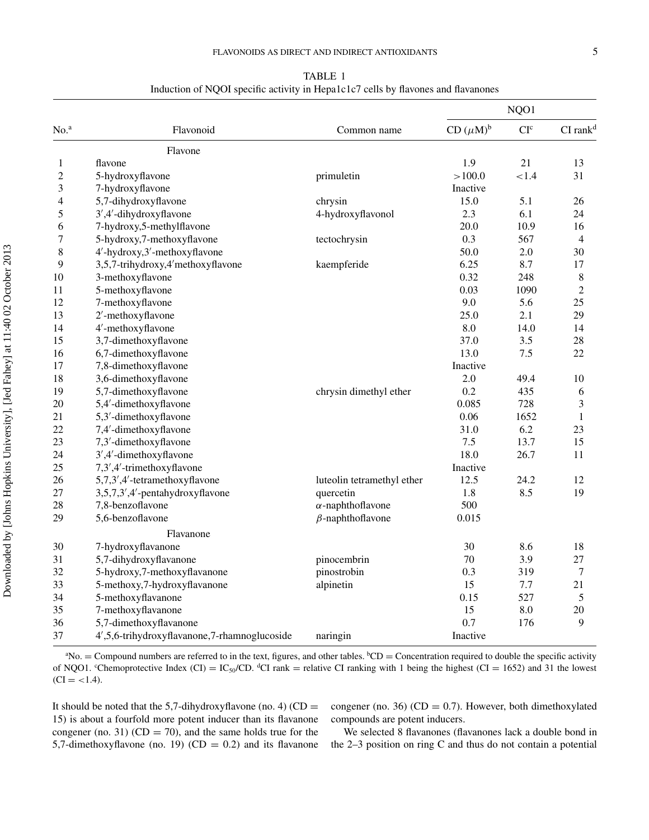TABLE 1 Induction of NQOI specific activity in Hepa1c1c7 cells by flavones and flavanones

| $CD ( \mu M)^b$<br>CI <sup>c</sup><br>No. <sup>a</sup><br>Flavonoid<br>Common name<br>Flavone<br>1.9<br>21<br>flavone<br>13<br>1<br>$\overline{2}$<br>< 1.4<br>31<br>5-hydroxyflavone<br>>100.0<br>primuletin<br>3<br>7-hydroxyflavone<br>Inactive<br>$\overline{4}$<br>5,7-dihydroxyflavone<br>15.0<br>5.1<br>chrysin<br>26<br>5<br>3',4'-dihydroxyflavone<br>2.3<br>6.1<br>24<br>4-hydroxyflavonol<br>7-hydroxy,5-methylflavone<br>20.0<br>10.9<br>6<br>16<br>7<br>5-hydroxy,7-methoxyflavone<br>567<br>0.3<br>$\overline{4}$<br>tectochrysin<br>$\,8\,$<br>4'-hydroxy,3'-methoxyflavone<br>50.0<br>2.0<br>30<br>9<br>6.25<br>8.7<br>3,5,7-trihydroxy,4'methoxyflavone<br>17<br>kaempferide<br>0.32<br>248<br>10<br>3-methoxyflavone<br>8<br>0.03<br>1090<br>11<br>5-methoxyflavone<br>$\mathfrak{2}$<br>9.0<br>5.6<br>25<br>12<br>7-methoxyflavone<br>25.0<br>13<br>2'-methoxyflavone<br>2.1<br>29<br>8.0<br>14<br>4'-methoxyflavone<br>14.0<br>14<br>15<br>3,7-dimethoxyflavone<br>37.0<br>3.5<br>28<br>16<br>6,7-dimethoxyflavone<br>13.0<br>7.5<br>22<br>17<br>7,8-dimethoxyflavone<br>Inactive<br>18<br>2.0<br>3,6-dimethoxyflavone<br>49.4<br>10<br>19<br>5,7-dimethoxyflavone<br>0.2<br>435<br>chrysin dimethyl ether<br>6<br>20<br>5,4'-dimethoxyflavone<br>0.085<br>728<br>3<br>21<br>5,3'-dimethoxyflavone<br>0.06<br>1652<br>$\mathbf{1}$<br>22<br>31.0<br>7,4'-dimethoxyflavone<br>6.2<br>23<br>23<br>7,3'-dimethoxyflavone<br>7.5<br>13.7<br>15<br>24<br>3',4'-dimethoxyflavone<br>18.0<br>26.7<br>11<br>25<br>7,3',4'-trimethoxyflavone<br>Inactive<br>5,7,3',4'-tetramethoxyflavone |    |                            |      | NQO1 |                        |
|------------------------------------------------------------------------------------------------------------------------------------------------------------------------------------------------------------------------------------------------------------------------------------------------------------------------------------------------------------------------------------------------------------------------------------------------------------------------------------------------------------------------------------------------------------------------------------------------------------------------------------------------------------------------------------------------------------------------------------------------------------------------------------------------------------------------------------------------------------------------------------------------------------------------------------------------------------------------------------------------------------------------------------------------------------------------------------------------------------------------------------------------------------------------------------------------------------------------------------------------------------------------------------------------------------------------------------------------------------------------------------------------------------------------------------------------------------------------------------------------------------------------------------------------------------------------------------------------------|----|----------------------------|------|------|------------------------|
|                                                                                                                                                                                                                                                                                                                                                                                                                                                                                                                                                                                                                                                                                                                                                                                                                                                                                                                                                                                                                                                                                                                                                                                                                                                                                                                                                                                                                                                                                                                                                                                                      |    |                            |      |      | $CI$ rank <sup>d</sup> |
|                                                                                                                                                                                                                                                                                                                                                                                                                                                                                                                                                                                                                                                                                                                                                                                                                                                                                                                                                                                                                                                                                                                                                                                                                                                                                                                                                                                                                                                                                                                                                                                                      |    |                            |      |      |                        |
|                                                                                                                                                                                                                                                                                                                                                                                                                                                                                                                                                                                                                                                                                                                                                                                                                                                                                                                                                                                                                                                                                                                                                                                                                                                                                                                                                                                                                                                                                                                                                                                                      |    |                            |      |      |                        |
|                                                                                                                                                                                                                                                                                                                                                                                                                                                                                                                                                                                                                                                                                                                                                                                                                                                                                                                                                                                                                                                                                                                                                                                                                                                                                                                                                                                                                                                                                                                                                                                                      |    |                            |      |      |                        |
|                                                                                                                                                                                                                                                                                                                                                                                                                                                                                                                                                                                                                                                                                                                                                                                                                                                                                                                                                                                                                                                                                                                                                                                                                                                                                                                                                                                                                                                                                                                                                                                                      |    |                            |      |      |                        |
|                                                                                                                                                                                                                                                                                                                                                                                                                                                                                                                                                                                                                                                                                                                                                                                                                                                                                                                                                                                                                                                                                                                                                                                                                                                                                                                                                                                                                                                                                                                                                                                                      |    |                            |      |      |                        |
|                                                                                                                                                                                                                                                                                                                                                                                                                                                                                                                                                                                                                                                                                                                                                                                                                                                                                                                                                                                                                                                                                                                                                                                                                                                                                                                                                                                                                                                                                                                                                                                                      |    |                            |      |      |                        |
|                                                                                                                                                                                                                                                                                                                                                                                                                                                                                                                                                                                                                                                                                                                                                                                                                                                                                                                                                                                                                                                                                                                                                                                                                                                                                                                                                                                                                                                                                                                                                                                                      |    |                            |      |      |                        |
|                                                                                                                                                                                                                                                                                                                                                                                                                                                                                                                                                                                                                                                                                                                                                                                                                                                                                                                                                                                                                                                                                                                                                                                                                                                                                                                                                                                                                                                                                                                                                                                                      |    |                            |      |      |                        |
|                                                                                                                                                                                                                                                                                                                                                                                                                                                                                                                                                                                                                                                                                                                                                                                                                                                                                                                                                                                                                                                                                                                                                                                                                                                                                                                                                                                                                                                                                                                                                                                                      |    |                            |      |      |                        |
|                                                                                                                                                                                                                                                                                                                                                                                                                                                                                                                                                                                                                                                                                                                                                                                                                                                                                                                                                                                                                                                                                                                                                                                                                                                                                                                                                                                                                                                                                                                                                                                                      |    |                            |      |      |                        |
|                                                                                                                                                                                                                                                                                                                                                                                                                                                                                                                                                                                                                                                                                                                                                                                                                                                                                                                                                                                                                                                                                                                                                                                                                                                                                                                                                                                                                                                                                                                                                                                                      |    |                            |      |      |                        |
|                                                                                                                                                                                                                                                                                                                                                                                                                                                                                                                                                                                                                                                                                                                                                                                                                                                                                                                                                                                                                                                                                                                                                                                                                                                                                                                                                                                                                                                                                                                                                                                                      |    |                            |      |      |                        |
|                                                                                                                                                                                                                                                                                                                                                                                                                                                                                                                                                                                                                                                                                                                                                                                                                                                                                                                                                                                                                                                                                                                                                                                                                                                                                                                                                                                                                                                                                                                                                                                                      |    |                            |      |      |                        |
|                                                                                                                                                                                                                                                                                                                                                                                                                                                                                                                                                                                                                                                                                                                                                                                                                                                                                                                                                                                                                                                                                                                                                                                                                                                                                                                                                                                                                                                                                                                                                                                                      |    |                            |      |      |                        |
|                                                                                                                                                                                                                                                                                                                                                                                                                                                                                                                                                                                                                                                                                                                                                                                                                                                                                                                                                                                                                                                                                                                                                                                                                                                                                                                                                                                                                                                                                                                                                                                                      |    |                            |      |      |                        |
|                                                                                                                                                                                                                                                                                                                                                                                                                                                                                                                                                                                                                                                                                                                                                                                                                                                                                                                                                                                                                                                                                                                                                                                                                                                                                                                                                                                                                                                                                                                                                                                                      |    |                            |      |      |                        |
|                                                                                                                                                                                                                                                                                                                                                                                                                                                                                                                                                                                                                                                                                                                                                                                                                                                                                                                                                                                                                                                                                                                                                                                                                                                                                                                                                                                                                                                                                                                                                                                                      |    |                            |      |      |                        |
|                                                                                                                                                                                                                                                                                                                                                                                                                                                                                                                                                                                                                                                                                                                                                                                                                                                                                                                                                                                                                                                                                                                                                                                                                                                                                                                                                                                                                                                                                                                                                                                                      |    |                            |      |      |                        |
|                                                                                                                                                                                                                                                                                                                                                                                                                                                                                                                                                                                                                                                                                                                                                                                                                                                                                                                                                                                                                                                                                                                                                                                                                                                                                                                                                                                                                                                                                                                                                                                                      |    |                            |      |      |                        |
|                                                                                                                                                                                                                                                                                                                                                                                                                                                                                                                                                                                                                                                                                                                                                                                                                                                                                                                                                                                                                                                                                                                                                                                                                                                                                                                                                                                                                                                                                                                                                                                                      |    |                            |      |      |                        |
|                                                                                                                                                                                                                                                                                                                                                                                                                                                                                                                                                                                                                                                                                                                                                                                                                                                                                                                                                                                                                                                                                                                                                                                                                                                                                                                                                                                                                                                                                                                                                                                                      |    |                            |      |      |                        |
|                                                                                                                                                                                                                                                                                                                                                                                                                                                                                                                                                                                                                                                                                                                                                                                                                                                                                                                                                                                                                                                                                                                                                                                                                                                                                                                                                                                                                                                                                                                                                                                                      |    |                            |      |      |                        |
|                                                                                                                                                                                                                                                                                                                                                                                                                                                                                                                                                                                                                                                                                                                                                                                                                                                                                                                                                                                                                                                                                                                                                                                                                                                                                                                                                                                                                                                                                                                                                                                                      |    |                            |      |      |                        |
|                                                                                                                                                                                                                                                                                                                                                                                                                                                                                                                                                                                                                                                                                                                                                                                                                                                                                                                                                                                                                                                                                                                                                                                                                                                                                                                                                                                                                                                                                                                                                                                                      |    |                            |      |      |                        |
|                                                                                                                                                                                                                                                                                                                                                                                                                                                                                                                                                                                                                                                                                                                                                                                                                                                                                                                                                                                                                                                                                                                                                                                                                                                                                                                                                                                                                                                                                                                                                                                                      |    |                            |      |      |                        |
|                                                                                                                                                                                                                                                                                                                                                                                                                                                                                                                                                                                                                                                                                                                                                                                                                                                                                                                                                                                                                                                                                                                                                                                                                                                                                                                                                                                                                                                                                                                                                                                                      |    |                            |      |      |                        |
|                                                                                                                                                                                                                                                                                                                                                                                                                                                                                                                                                                                                                                                                                                                                                                                                                                                                                                                                                                                                                                                                                                                                                                                                                                                                                                                                                                                                                                                                                                                                                                                                      | 26 | luteolin tetramethyl ether | 12.5 | 24.2 | 12                     |
| 3,5,7,3',4'-pentahydroxyflavone<br>8.5<br>27<br>1.8<br>19<br>quercetin                                                                                                                                                                                                                                                                                                                                                                                                                                                                                                                                                                                                                                                                                                                                                                                                                                                                                                                                                                                                                                                                                                                                                                                                                                                                                                                                                                                                                                                                                                                               |    |                            |      |      |                        |
| 500<br>28<br>7,8-benzoflavone<br>$\alpha$ -naphthoflavone                                                                                                                                                                                                                                                                                                                                                                                                                                                                                                                                                                                                                                                                                                                                                                                                                                                                                                                                                                                                                                                                                                                                                                                                                                                                                                                                                                                                                                                                                                                                            |    |                            |      |      |                        |
| 29<br>5,6-benzoflavone<br>0.015<br>$\beta$ -naphthoflavone                                                                                                                                                                                                                                                                                                                                                                                                                                                                                                                                                                                                                                                                                                                                                                                                                                                                                                                                                                                                                                                                                                                                                                                                                                                                                                                                                                                                                                                                                                                                           |    |                            |      |      |                        |
| Flavanone                                                                                                                                                                                                                                                                                                                                                                                                                                                                                                                                                                                                                                                                                                                                                                                                                                                                                                                                                                                                                                                                                                                                                                                                                                                                                                                                                                                                                                                                                                                                                                                            |    |                            |      |      |                        |
| 30<br>30<br>7-hydroxyflavanone<br>8.6<br>18                                                                                                                                                                                                                                                                                                                                                                                                                                                                                                                                                                                                                                                                                                                                                                                                                                                                                                                                                                                                                                                                                                                                                                                                                                                                                                                                                                                                                                                                                                                                                          |    |                            |      |      |                        |
| 31<br>70<br>3.9<br>27<br>5,7-dihydroxyflavanone<br>pinocembrin                                                                                                                                                                                                                                                                                                                                                                                                                                                                                                                                                                                                                                                                                                                                                                                                                                                                                                                                                                                                                                                                                                                                                                                                                                                                                                                                                                                                                                                                                                                                       |    |                            |      |      |                        |
| 32<br>5-hydroxy,7-methoxyflavanone<br>pinostrobin<br>0.3<br>319<br>7                                                                                                                                                                                                                                                                                                                                                                                                                                                                                                                                                                                                                                                                                                                                                                                                                                                                                                                                                                                                                                                                                                                                                                                                                                                                                                                                                                                                                                                                                                                                 |    |                            |      |      |                        |
| 33<br>15<br>21<br>5-methoxy,7-hydroxyflavanone<br>alpinetin<br>7.7                                                                                                                                                                                                                                                                                                                                                                                                                                                                                                                                                                                                                                                                                                                                                                                                                                                                                                                                                                                                                                                                                                                                                                                                                                                                                                                                                                                                                                                                                                                                   |    |                            |      |      |                        |
| 0.15<br>527<br>34<br>5-methoxyflavanone<br>5                                                                                                                                                                                                                                                                                                                                                                                                                                                                                                                                                                                                                                                                                                                                                                                                                                                                                                                                                                                                                                                                                                                                                                                                                                                                                                                                                                                                                                                                                                                                                         |    |                            |      |      |                        |
| 35<br>7-methoxyflavanone<br>15<br>8.0<br>$20\,$                                                                                                                                                                                                                                                                                                                                                                                                                                                                                                                                                                                                                                                                                                                                                                                                                                                                                                                                                                                                                                                                                                                                                                                                                                                                                                                                                                                                                                                                                                                                                      |    |                            |      |      |                        |
| 0.7<br>36<br>5,7-dimethoxyflavanone<br>176<br>9                                                                                                                                                                                                                                                                                                                                                                                                                                                                                                                                                                                                                                                                                                                                                                                                                                                                                                                                                                                                                                                                                                                                                                                                                                                                                                                                                                                                                                                                                                                                                      |    |                            |      |      |                        |
| 37<br>4',5,6-trihydroxyflavanone,7-rhamnoglucoside<br>naringin<br>Inactive                                                                                                                                                                                                                                                                                                                                                                                                                                                                                                                                                                                                                                                                                                                                                                                                                                                                                                                                                                                                                                                                                                                                                                                                                                                                                                                                                                                                                                                                                                                           |    |                            |      |      |                        |

 $a_{\text{No}}$  = Compound numbers are referred to in the text, figures, and other tables.  $b_{\text{CD}}$  = Concentration required to double the specific activity of NQO1. Chemoprotective Index (CI) =  $IC_{50}/CD$ . <sup>d</sup>CI rank = relative CI ranking with 1 being the highest (CI = 1652) and 31 the lowest  $(CI = <1.4)$ .

It should be noted that the 5,7-dihydroxyflavone (no. 4) (CD  $=$ 15) is about a fourfold more potent inducer than its flavanone congener (no. 31) ( $CD = 70$ ), and the same holds true for the 5,7-dimethoxyflavone (no. 19) (CD = 0.2) and its flavanone congener (no. 36) ( $CD = 0.7$ ). However, both dimethoxylated compounds are potent inducers.

We selected 8 flavanones (flavanones lack a double bond in the 2–3 position on ring C and thus do not contain a potential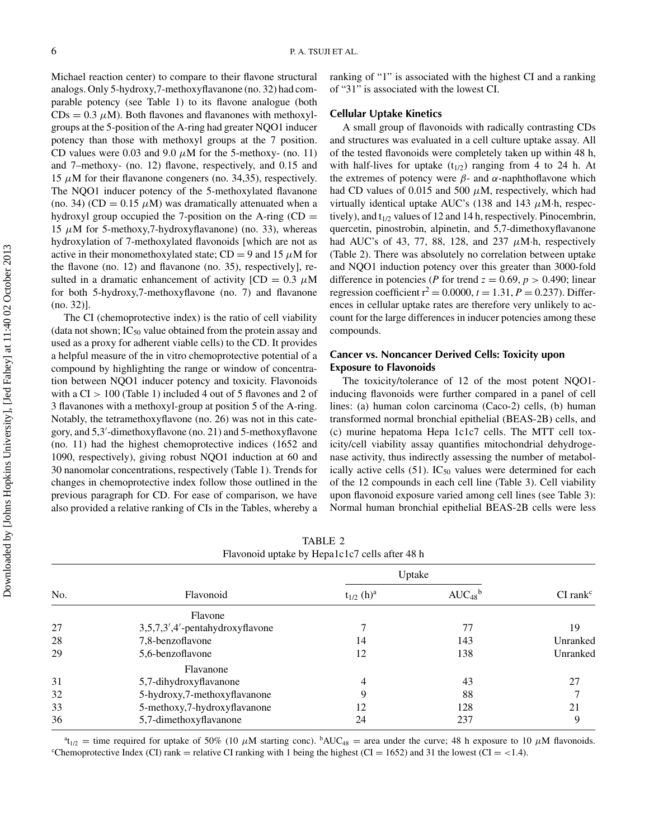Michael reaction center) to compare to their flavone structural analogs. Only 5-hydroxy,7-methoxyflavanone (no. 32) had comparable potency (see Table 1) to its flavone analogue (both  $CDs = 0.3 \mu M$ ). Both flavones and flavanones with methoxylgroups at the 5-position of the A-ring had greater NQO1 inducer potency than those with methoxyl groups at the 7 position. CD values were 0.03 and 9.0  $\mu$ M for the 5-methoxy- (no. 11) and 7–methoxy- (no. 12) flavone, respectively, and 0.15 and 15  $\mu$ M for their flavanone congeners (no. 34,35), respectively. The NQO1 inducer potency of the 5-methoxylated flavanone (no. 34) (CD = 0.15  $\mu$ M) was dramatically attenuated when a hydroxyl group occupied the 7-position on the A-ring  $(CD =$ 15  $\mu$ M for 5-methoxy, 7-hydroxyflavanone) (no. 33), whereas hydroxylation of 7-methoxylated flavonoids [which are not as active in their monomethoxylated state;  $CD = 9$  and 15  $\mu$ M for the flavone (no. 12) and flavanone (no. 35), respectively], resulted in a dramatic enhancement of activity  $[CD = 0.3 \mu M]$ for both 5-hydroxy,7-methoxyflavone (no. 7) and flavanone (no. 32)].

The CI (chemoprotective index) is the ratio of cell viability (data not shown;  $IC_{50}$  value obtained from the protein assay and used as a proxy for adherent viable cells) to the CD. It provides a helpful measure of the in vitro chemoprotective potential of a compound by highlighting the range or window of concentration between NQO1 inducer potency and toxicity. Flavonoids with a  $CI > 100$  (Table 1) included 4 out of 5 flavones and 2 of 3 flavanones with a methoxyl-group at position 5 of the A-ring. Notably, the tetramethoxyflavone (no. 26) was not in this category, and 5,3 -dimethoxyflavone (no. 21) and 5-methoxyflavone (no. 11) had the highest chemoprotective indices (1652 and 1090, respectively), giving robust NQO1 induction at 60 and 30 nanomolar concentrations, respectively (Table 1). Trends for changes in chemoprotective index follow those outlined in the previous paragraph for CD. For ease of comparison, we have also provided a relative ranking of CIs in the Tables, whereby a ranking of "1" is associated with the highest CI and a ranking of "31" is associated with the lowest CI.

### **Cellular Uptake Kinetics**

A small group of flavonoids with radically contrasting CDs and structures was evaluated in a cell culture uptake assay. All of the tested flavonoids were completely taken up within 48 h, with half-lives for uptake  $(t_{1/2})$  ranging from 4 to 24 h. At the extremes of potency were  $β$ - and α-naphthoflavone which had CD values of 0.015 and 500  $\mu$ M, respectively, which had virtually identical uptake AUC's (138 and 143  $\mu$ M·h, respectively), and  $t_{1/2}$  values of 12 and 14 h, respectively. Pinocembrin, quercetin, pinostrobin, alpinetin, and 5,7-dimethoxyflavanone had AUC's of 43, 77, 88, 128, and 237  $\mu$ M·h, respectively (Table 2). There was absolutely no correlation between uptake and NQO1 induction potency over this greater than 3000-fold difference in potencies (*P* for trend  $z = 0.69$ ,  $p > 0.490$ ; linear regression coefficient  $r^2 = 0.0000$ ,  $t = 1.31$ ,  $P = 0.237$ ). Differences in cellular uptake rates are therefore very unlikely to account for the large differences in inducer potencies among these compounds.

# **Cancer vs. Noncancer Derived Cells: Toxicity upon Exposure to Flavonoids**

The toxicity/tolerance of 12 of the most potent NOO1inducing flavonoids were further compared in a panel of cell lines: (a) human colon carcinoma (Caco-2) cells, (b) human transformed normal bronchial epithelial (BEAS-2B) cells, and (c) murine hepatoma Hepa 1c1c7 cells. The MTT cell toxicity/cell viability assay quantifies mitochondrial dehydrogenase activity, thus indirectly assessing the number of metabolically active cells  $(51)$ . IC<sub>50</sub> values were determined for each of the 12 compounds in each cell line (Table 3). Cell viability upon flavonoid exposure varied among cell lines (see Table 3): Normal human bronchial epithelial BEAS-2B cells were less

| Flavonoid uptake by Hepa1c1c7 cells after 48 h |                                 |                            |                         |                        |  |
|------------------------------------------------|---------------------------------|----------------------------|-------------------------|------------------------|--|
|                                                |                                 | Uptake                     |                         |                        |  |
| No.                                            | Flavonoid                       | $t_{1/2}$ (h) <sup>a</sup> | $AUC_{48}$ <sup>b</sup> | $CI$ rank <sup>c</sup> |  |
|                                                | Flavone                         |                            |                         |                        |  |
| 27                                             | 3,5,7,3',4'-pentahydroxyflavone |                            | 77                      | 19                     |  |
| 28                                             | 7,8-benzoflavone                | 14                         | 143                     | Unranked               |  |
| 29                                             | 5,6-benzoflavone                | 12                         | 138                     | Unranked               |  |
|                                                | Flavanone                       |                            |                         |                        |  |
| 31                                             | 5,7-dihydroxyflavanone          | 4                          | 43                      | 27                     |  |
| 32                                             | 5-hydroxy,7-methoxyflavanone    | 9                          | 88                      |                        |  |
| 33                                             | 5-methoxy,7-hydroxyflavanone    | 12                         | 128                     | 21                     |  |
| 36                                             | 5,7-dimethoxyflavanone          | 24                         | 237                     | 9                      |  |

TABLE 2

<sup>a</sup>t<sub>1/2</sub> = time required for uptake of 50% (10  $\mu$ M starting conc). <sup>b</sup>AUC<sub>48</sub> = area under the curve; 48 h exposure to 10  $\mu$ M flavonoids.<br>Chemoprotective Index (CI) rank – relative CI ranking with 1 being the bighest Chemoprotective Index (CI) rank = relative CI ranking with 1 being the highest (CI = 1652) and 31 the lowest (CI = <1.4).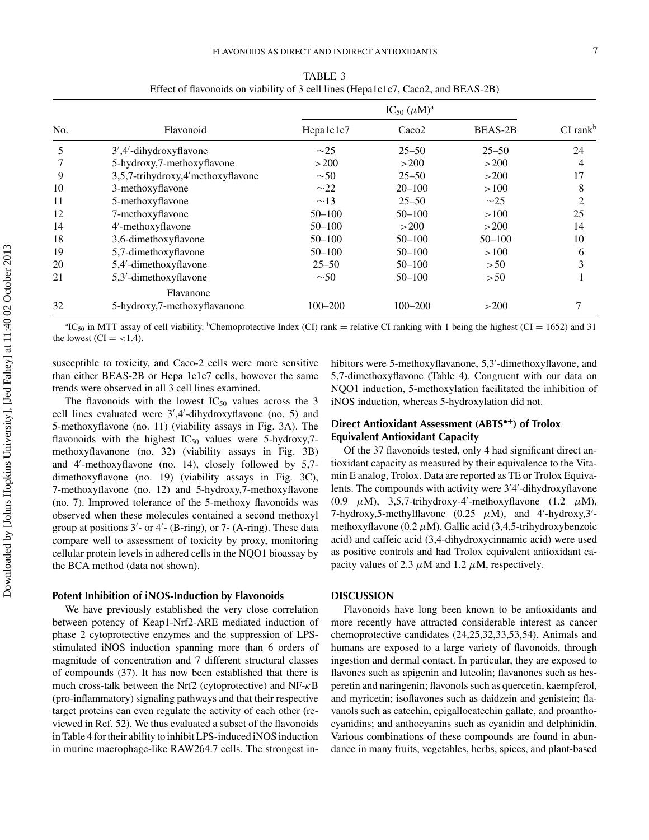|     | Flavonoid                         | $IC_{50}$ $(\mu M)^a$ |             |                |                        |
|-----|-----------------------------------|-----------------------|-------------|----------------|------------------------|
| No. |                                   | Hepalclc7             | Caco2       | <b>BEAS-2B</b> | $CI$ rank <sup>b</sup> |
| 5   | $3^{\prime}$ ,4'-dihydroxyflavone | $\sim$ 25             | $25 - 50$   | $25 - 50$      | 24                     |
|     | 5-hydroxy,7-methoxyflavone        | >200                  | >200        | >200           | 4                      |
| 9   | 3,5,7-trihydroxy,4'methoxyflavone | $\sim 50$             | $25 - 50$   | >200           | 17                     |
| 10  | 3-methoxyflavone                  | $\sim$ 22             | $20 - 100$  | >100           | 8                      |
| 11  | 5-methoxyflavone                  | $\sim$ 13             | $25 - 50$   | $\sim$ 25      | $\overline{2}$         |
| 12  | 7-methoxyflavone                  | $50 - 100$            | $50 - 100$  | >100           | 25                     |
| 14  | 4'-methoxyflavone                 | $50 - 100$            | >200        | >200           | 14                     |
| 18  | 3,6-dimethoxyflavone              | $50 - 100$            | $50 - 100$  | $50 - 100$     | 10                     |
| 19  | 5,7-dimethoxyflavone              | $50 - 100$            | $50 - 100$  | >100           | 6                      |
| 20  | 5,4'-dimethoxyflavone             | $25 - 50$             | $50 - 100$  | >50            | 3                      |
| 21  | 5,3'-dimethoxyflavone             | $\sim 50$             | $50 - 100$  | >50            |                        |
|     | Flavanone                         |                       |             |                |                        |
| 32  | 5-hydroxy,7-methoxyflavanone      | $100 - 200$           | $100 - 200$ | >200           | 7                      |

TABLE 3 Effect of flavonoids on viability of 3 cell lines (Hepa1c1c7, Caco2, and BEAS-2B)

 ${}^{a}IC_{50}$  in MTT assay of cell viability. <sup>b</sup>Chemoprotective Index (CI) rank = relative CI ranking with 1 being the highest (CI = 1652) and 31 the lowest  $(CI = <1.4)$ .

susceptible to toxicity, and Caco-2 cells were more sensitive than either BEAS-2B or Hepa 1c1c7 cells, however the same trends were observed in all 3 cell lines examined.

The flavonoids with the lowest  $IC_{50}$  values across the 3 cell lines evaluated were  $3', 4'$ -dihydroxyflavone (no. 5) and 5-methoxyflavone (no. 11) (viability assays in Fig. 3A). The flavonoids with the highest  $IC_{50}$  values were 5-hydroxy,7methoxyflavanone (no. 32) (viability assays in Fig. 3B) and 4 -methoxyflavone (no. 14), closely followed by 5,7 dimethoxyflavone (no. 19) (viability assays in Fig. 3C), 7-methoxyflavone (no. 12) and 5-hydroxy,7-methoxyflavone (no. 7). Improved tolerance of the 5-methoxy flavonoids was observed when these molecules contained a second methoxyl group at positions 3 - or 4 - (B-ring), or 7- (A-ring). These data compare well to assessment of toxicity by proxy, monitoring cellular protein levels in adhered cells in the NQO1 bioassay by the BCA method (data not shown).

#### **Potent Inhibition of iNOS-Induction by Flavonoids**

We have previously established the very close correlation between potency of Keap1-Nrf2-ARE mediated induction of phase 2 cytoprotective enzymes and the suppression of LPSstimulated iNOS induction spanning more than 6 orders of magnitude of concentration and 7 different structural classes of compounds (37). It has now been established that there is much cross-talk between the Nrf2 (cytoprotective) and NF-κB (pro-inflammatory) signaling pathways and that their respective target proteins can even regulate the activity of each other (reviewed in Ref. 52). We thus evaluated a subset of the flavonoids in Table 4 for their ability to inhibit LPS-induced iNOS induction in murine macrophage-like RAW264.7 cells. The strongest in-

hibitors were 5-methoxyflavanone, 5,3 -dimethoxyflavone, and 5,7-dimethoxyflavone (Table 4). Congruent with our data on NQO1 induction, 5-methoxylation facilitated the inhibition of iNOS induction, whereas 5-hydroxylation did not.

# **Direct Antioxidant Assessment (ABTS•+) of Trolox Equivalent Antioxidant Capacity**

Of the 37 flavonoids tested, only 4 had significant direct antioxidant capacity as measured by their equivalence to the Vitamin E analog, Trolox. Data are reported as TE or Trolox Equivalents. The compounds with activity were 3'4'-dihydroxyflavone (0.9  $\mu$ M), 3,5,7-trihydroxy-4'-methoxyflavone (1.2  $\mu$ M), 7-hydroxy,5-methylflavone  $(0.25 \mu M)$ , and 4'-hydroxy,3'methoxyflavone (0.2  $\mu$ M). Gallic acid (3,4,5-trihydroxybenzoic acid) and caffeic acid (3,4-dihydroxycinnamic acid) were used as positive controls and had Trolox equivalent antioxidant capacity values of 2.3  $\mu$ M and 1.2  $\mu$ M, respectively.

# **DISCUSSION**

Flavonoids have long been known to be antioxidants and more recently have attracted considerable interest as cancer chemoprotective candidates (24,25,32,33,53,54). Animals and humans are exposed to a large variety of flavonoids, through ingestion and dermal contact. In particular, they are exposed to flavones such as apigenin and luteolin; flavanones such as hesperetin and naringenin; flavonols such as quercetin, kaempferol, and myricetin; isoflavones such as daidzein and genistein; flavanols such as catechin, epigallocatechin gallate, and proanthocyanidins; and anthocyanins such as cyanidin and delphinidin. Various combinations of these compounds are found in abundance in many fruits, vegetables, herbs, spices, and plant-based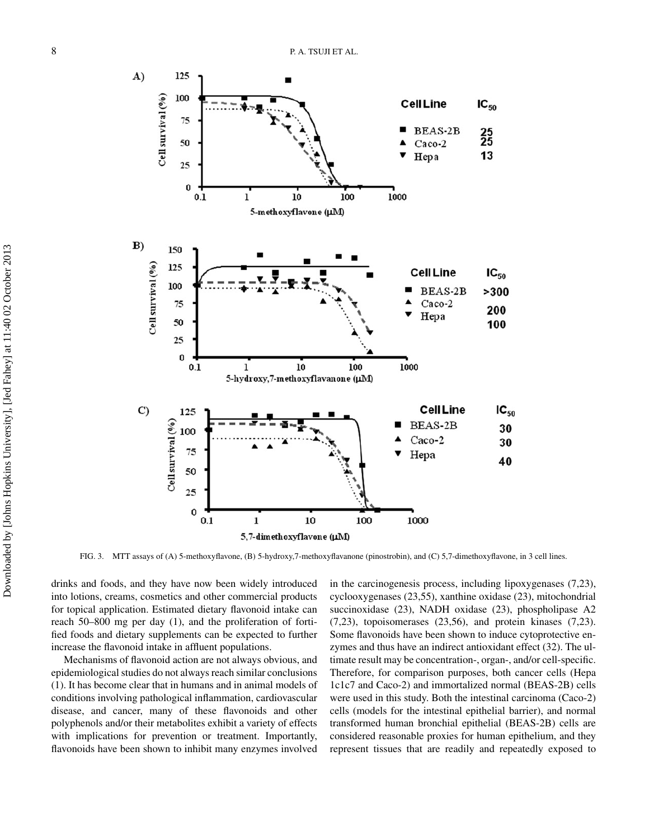

FIG. 3. MTT assays of (A) 5-methoxyflavone, (B) 5-hydroxy,7-methoxyflavanone (pinostrobin), and (C) 5,7-dimethoxyflavone, in 3 cell lines.

drinks and foods, and they have now been widely introduced into lotions, creams, cosmetics and other commercial products for topical application. Estimated dietary flavonoid intake can reach 50–800 mg per day (1), and the proliferation of fortified foods and dietary supplements can be expected to further increase the flavonoid intake in affluent populations.

Mechanisms of flavonoid action are not always obvious, and epidemiological studies do not always reach similar conclusions (1). It has become clear that in humans and in animal models of conditions involving pathological inflammation, cardiovascular disease, and cancer, many of these flavonoids and other polyphenols and/or their metabolites exhibit a variety of effects with implications for prevention or treatment. Importantly, flavonoids have been shown to inhibit many enzymes involved in the carcinogenesis process, including lipoxygenases (7,23), cyclooxygenases (23,55), xanthine oxidase (23), mitochondrial succinoxidase (23), NADH oxidase (23), phospholipase A2 (7,23), topoisomerases (23,56), and protein kinases (7,23). Some flavonoids have been shown to induce cytoprotective enzymes and thus have an indirect antioxidant effect (32). The ultimate result may be concentration-, organ-, and/or cell-specific. Therefore, for comparison purposes, both cancer cells (Hepa 1c1c7 and Caco-2) and immortalized normal (BEAS-2B) cells were used in this study. Both the intestinal carcinoma (Caco-2) cells (models for the intestinal epithelial barrier), and normal transformed human bronchial epithelial (BEAS-2B) cells are considered reasonable proxies for human epithelium, and they represent tissues that are readily and repeatedly exposed to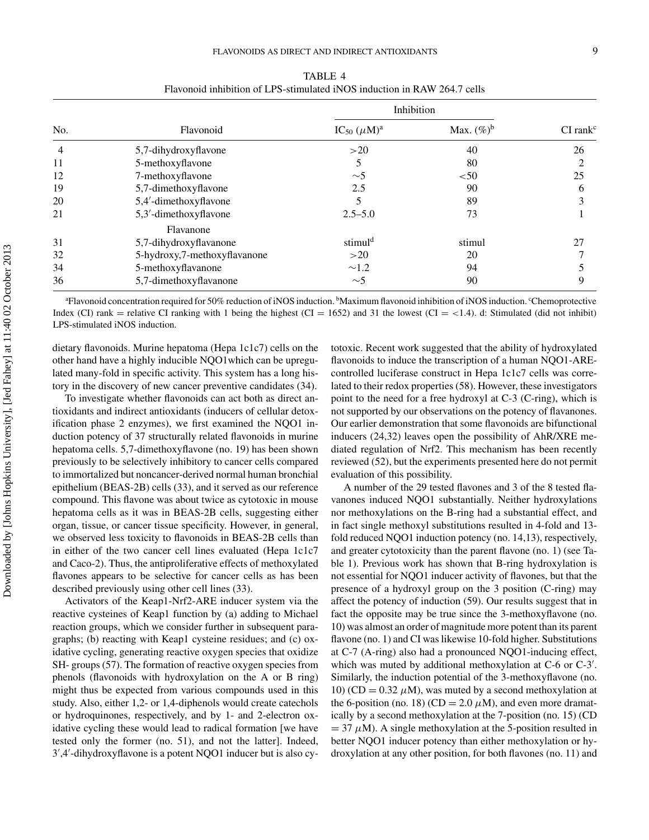|     |                              | Inhibition            |               |                        |
|-----|------------------------------|-----------------------|---------------|------------------------|
| No. | Flavonoid                    | $IC_{50}$ $(\mu M)^a$ | Max. $(\%)^b$ | $CI$ rank <sup>c</sup> |
| 4   | 5,7-dihydroxyflavone         | >20                   | 40            | 26                     |
| 11  | 5-methoxyflavone             | 5                     | 80            |                        |
| 12  | 7-methoxyflavone             | $\sim$ 5              | $50$          | 25                     |
| 19  | 5,7-dimethoxyflavone         | 2.5                   | 90            | 6                      |
| 20  | 5,4'-dimethoxyflavone        |                       | 89            |                        |
| 21  | 5,3'-dimethoxyflavone        | $2.5 - 5.0$           | 73            |                        |
|     | Flavanone                    |                       |               |                        |
| 31  | 5,7-dihydroxyflavanone       | stimul <sup>d</sup>   | stimul        | 27                     |
| 32  | 5-hydroxy,7-methoxyflavanone | >20                   | 20            |                        |
| 34  | 5-methoxyflavanone           | $\sim1.2$             | 94            |                        |
| 36  | 5,7-dimethoxyflavanone       | $\sim$ 5              | 90            | 9                      |

TABLE 4 Flavonoid inhibition of LPS-stimulated iNOS induction in RAW 264.7 cells

<sup>a</sup> Flavonoid concentration required for 50% reduction of iNOS induction. <sup>b</sup>Maximum flavonoid inhibition of iNOS induction. Chemoprotective Index (CI) rank = relative CI ranking with 1 being the highest (CI = 1652) and 31 the lowest (CI = <1.4). d: Stimulated (did not inhibit) LPS-stimulated iNOS induction.

dietary flavonoids. Murine hepatoma (Hepa 1c1c7) cells on the other hand have a highly inducible NQO1which can be upregulated many-fold in specific activity. This system has a long history in the discovery of new cancer preventive candidates (34).

To investigate whether flavonoids can act both as direct antioxidants and indirect antioxidants (inducers of cellular detoxification phase 2 enzymes), we first examined the NQO1 induction potency of 37 structurally related flavonoids in murine hepatoma cells. 5,7-dimethoxyflavone (no. 19) has been shown previously to be selectively inhibitory to cancer cells compared to immortalized but noncancer-derived normal human bronchial epithelium (BEAS-2B) cells (33), and it served as our reference compound. This flavone was about twice as cytotoxic in mouse hepatoma cells as it was in BEAS-2B cells, suggesting either organ, tissue, or cancer tissue specificity. However, in general, we observed less toxicity to flavonoids in BEAS-2B cells than in either of the two cancer cell lines evaluated (Hepa 1c1c7 and Caco-2). Thus, the antiproliferative effects of methoxylated flavones appears to be selective for cancer cells as has been described previously using other cell lines (33).

Activators of the Keap1-Nrf2-ARE inducer system via the reactive cysteines of Keap1 function by (a) adding to Michael reaction groups, which we consider further in subsequent paragraphs; (b) reacting with Keap1 cysteine residues; and (c) oxidative cycling, generating reactive oxygen species that oxidize SH- groups (57). The formation of reactive oxygen species from phenols (flavonoids with hydroxylation on the A or B ring) might thus be expected from various compounds used in this study. Also, either 1,2- or 1,4-diphenols would create catechols or hydroquinones, respectively, and by 1- and 2-electron oxidative cycling these would lead to radical formation [we have tested only the former (no. 51), and not the latter]. Indeed, 3 ,4 -dihydroxyflavone is a potent NQO1 inducer but is also cytotoxic. Recent work suggested that the ability of hydroxylated flavonoids to induce the transcription of a human NQO1-AREcontrolled luciferase construct in Hepa 1c1c7 cells was correlated to their redox properties (58). However, these investigators point to the need for a free hydroxyl at C-3 (C-ring), which is not supported by our observations on the potency of flavanones. Our earlier demonstration that some flavonoids are bifunctional inducers (24,32) leaves open the possibility of AhR/XRE mediated regulation of Nrf2. This mechanism has been recently reviewed (52), but the experiments presented here do not permit evaluation of this possibility.

A number of the 29 tested flavones and 3 of the 8 tested flavanones induced NQO1 substantially. Neither hydroxylations nor methoxylations on the B-ring had a substantial effect, and in fact single methoxyl substitutions resulted in 4-fold and 13 fold reduced NQO1 induction potency (no. 14,13), respectively, and greater cytotoxicity than the parent flavone (no. 1) (see Table 1). Previous work has shown that B-ring hydroxylation is not essential for NQO1 inducer activity of flavones, but that the presence of a hydroxyl group on the 3 position (C-ring) may affect the potency of induction (59). Our results suggest that in fact the opposite may be true since the 3-methoxyflavone (no. 10) was almost an order of magnitude more potent than its parent flavone (no. 1) and CI was likewise 10-fold higher. Substitutions at C-7 (A-ring) also had a pronounced NQO1-inducing effect, which was muted by additional methoxylation at C-6 or C-3'. Similarly, the induction potential of the 3-methoxyflavone (no. 10) (CD = 0.32  $\mu$ M), was muted by a second methoxylation at the 6-position (no. 18) (CD = 2.0  $\mu$ M), and even more dramatically by a second methoxylation at the 7-position (no. 15) (CD  $= 37 \mu M$ ). A single methoxylation at the 5-position resulted in better NQO1 inducer potency than either methoxylation or hydroxylation at any other position, for both flavones (no. 11) and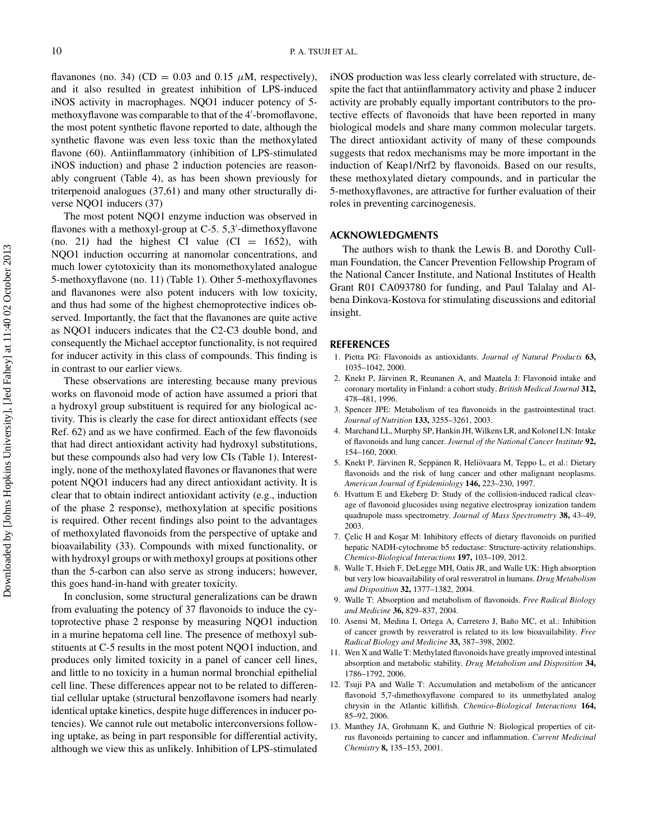flavanones (no. 34) (CD = 0.03 and 0.15  $\mu$ M, respectively), and it also resulted in greatest inhibition of LPS-induced iNOS activity in macrophages. NQO1 inducer potency of 5 methoxyflavone was comparable to that of the 4 -bromoflavone, the most potent synthetic flavone reported to date, although the synthetic flavone was even less toxic than the methoxylated flavone (60). Antiinflammatory (inhibition of LPS-stimulated iNOS induction) and phase 2 induction potencies are reasonably congruent (Table 4), as has been shown previously for triterpenoid analogues (37,61) and many other structurally diverse NQO1 inducers (37)

The most potent NQO1 enzyme induction was observed in flavones with a methoxyl-group at C-5. 5,3 -dimethoxyflavone (no. 21) had the highest CI value  $(CI = 1652)$ , with NQO1 induction occurring at nanomolar concentrations, and much lower cytotoxicity than its monomethoxylated analogue 5-methoxyflavone (no. 11) (Table 1). Other 5-methoxyflavones and flavanones were also potent inducers with low toxicity, and thus had some of the highest chemoprotective indices observed. Importantly, the fact that the flavanones are quite active as NQO1 inducers indicates that the C2-C3 double bond, and consequently the Michael acceptor functionality, is not required for inducer activity in this class of compounds. This finding is in contrast to our earlier views.

These observations are interesting because many previous works on flavonoid mode of action have assumed a priori that a hydroxyl group substituent is required for any biological activity. This is clearly the case for direct antioxidant effects (see Ref. 62) and as we have confirmed. Each of the few flavonoids that had direct antioxidant activity had hydroxyl substitutions, but these compounds also had very low CIs (Table 1). Interestingly, none of the methoxylated flavones or flavanones that were potent NQO1 inducers had any direct antioxidant activity. It is clear that to obtain indirect antioxidant activity (e.g., induction of the phase 2 response), methoxylation at specific positions is required. Other recent findings also point to the advantages of methoxylated flavonoids from the perspective of uptake and bioavailability (33). Compounds with mixed functionality, or with hydroxyl groups or with methoxyl groups at positions other than the 5-carbon can also serve as strong inducers; however, this goes hand-in-hand with greater toxicity.

In conclusion, some structural generalizations can be drawn from evaluating the potency of 37 flavonoids to induce the cytoprotective phase 2 response by measuring NQO1 induction in a murine hepatoma cell line. The presence of methoxyl substituents at C-5 results in the most potent NQO1 induction, and produces only limited toxicity in a panel of cancer cell lines, and little to no toxicity in a human normal bronchial epithelial cell line. These differences appear not to be related to differential cellular uptake (structural benzoflavone isomers had nearly identical uptake kinetics, despite huge differences in inducer potencies). We cannot rule out metabolic interconversions following uptake, as being in part responsible for differential activity, although we view this as unlikely. Inhibition of LPS-stimulated

iNOS production was less clearly correlated with structure, despite the fact that antiinflammatory activity and phase 2 inducer activity are probably equally important contributors to the protective effects of flavonoids that have been reported in many biological models and share many common molecular targets. The direct antioxidant activity of many of these compounds suggests that redox mechanisms may be more important in the induction of Keap1/Nrf2 by flavonoids. Based on our results, these methoxylated dietary compounds, and in particular the 5-methoxyflavones, are attractive for further evaluation of their roles in preventing carcinogenesis.

# **ACKNOWLEDGMENTS**

The authors wish to thank the Lewis B. and Dorothy Cullman Foundation, the Cancer Prevention Fellowship Program of the National Cancer Institute, and National Institutes of Health Grant R01 CA093780 for funding, and Paul Talalay and Albena Dinkova-Kostova for stimulating discussions and editorial insight.

#### **REFERENCES**

- 1. Pietta PG: Flavonoids as antioxidants. *Journal of Natural Products* **63,** 1035–1042, 2000.
- 2. Knekt P, Järvinen R, Reunanen A, and Maatela J: Flavonoid intake and coronary mortality in Finland: a cohort study. *British Medical Journal* **312,** 478–481, 1996.
- 3. Spencer JPE: Metabolism of tea flavonoids in the gastrointestinal tract. *Journal of Nutrition* **133,** 3255–3261, 2003.
- 4. Marchand LL, Murphy SP, Hankin JH, Wilkens LR, and Kolonel LN: Intake of flavonoids and lung cancer. *Journal of the National Cancer Institute* **92,** 154–160, 2000.
- 5. Knekt P, Järvinen R, Seppänen R, Heliövaara M, Teppo L, et al.: Dietary flavonoids and the risk of lung cancer and other malignant neoplasms. *American Journal of Epidemiology* **146,** 223–230, 1997.
- 6. Hvattum E and Ekeberg D: Study of the collision-induced radical cleavage of flavonoid glucosides using negative electrospray ionization tandem quadrupole mass spectrometry. *Journal of Mass Spectrometry* **38,** 43–49, 2003.
- 7. Çelic H and Koşar M: Inhibitory effects of dietary flavonoids on purified hepatic NADH-cytochrome b5 reductase: Structure-activity relationships. *Chemico-Biological Interactions* **197,** 103–109, 2012.
- 8. Walle T, Hsieh F, DeLegge MH, Oatis JR, and Walle UK: High absorption but very low bioavailability of oral resveratrol in humans. *Drug Metabolism and Disposition* **32,** 1377–1382, 2004.
- 9. Walle T: Absorption and metabolism of flavonoids. *Free Radical Biology and Medicine* **36,** 829–837, 2004.
- 10. Asensi M, Medina I, Ortega A, Carretero J, Baño MC, et al.: Inhibition of cancer growth by resveratrol is related to its low bioavailability. *Free Radical Biology and Medicine* **33,** 387–398, 2002.
- 11. Wen X and Walle T: Methylated flavonoids have greatly improved intestinal absorption and metabolic stability. *Drug Metabolism and Disposition* **34,** 1786–1792, 2006.
- 12. Tsuji PA and Walle T: Accumulation and metabolism of the anticancer flavonoid 5,7-dimethoxyflavone compared to its unmethylated analog chrysin in the Atlantic killifish. *Chemico-Biological Interactions* **164,** 85–92, 2006.
- 13. Manthey JA, Grohmann K, and Guthrie N: Biological properties of citrus flavonoids pertaining to cancer and inflammation. *Current Medicinal Chemistry* **8,** 135–153, 2001.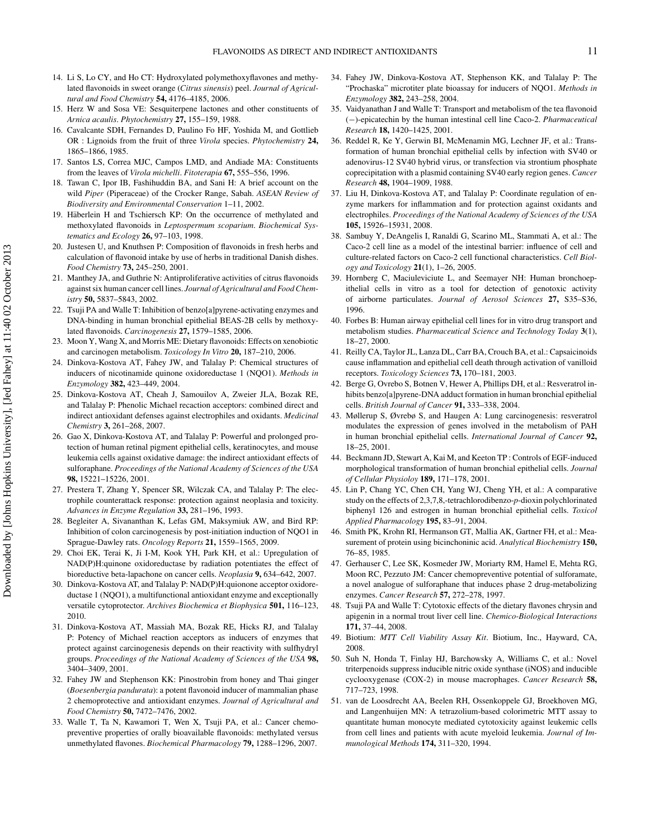- 14. Li S, Lo CY, and Ho CT: Hydroxylated polymethoxyflavones and methylated flavonoids in sweet orange (*Citrus sinensis*) peel. *Journal of Agricultural and Food Chemistry* **54,** 4176–4185, 2006.
- 15. Herz W and Sosa VE: Sesquiterpene lactones and other constituents of *Arnica acaulis*. *Phytochemistry* **27,** 155–159, 1988.
- 16. Cavalcante SDH, Fernandes D, Paulino Fo HF, Yoshida M, and Gottlieb OR : Lignoids from the fruit of three *Virola* species. *Phytochemistry* **24,** 1865–1866, 1985.
- 17. Santos LS, Correa MJC, Campos LMD, and Andiade MA: Constituents from the leaves of *Virola michelli*. *Fitoterapia* **67,** 555–556, 1996.
- 18. Tawan C, Ipor IB, Fashihuddin BA, and Sani H: A brief account on the wild *Piper* (Piperaceae) of the Crocker Range, Sabah. *ASEAN Review of Biodiversity and Environmental Conservation* 1–11, 2002.
- 19. Häberlein H and Tschiersch KP: On the occurrence of methylated and methoxylated flavonoids in *Leptospermum scoparium*. *Biochemical Systematics and Ecology* **26,** 97–103, 1998.
- 20. Justesen U, and Knuthsen P: Composition of flavonoids in fresh herbs and calculation of flavonoid intake by use of herbs in traditional Danish dishes. *Food Chemistry* **73,** 245–250, 2001.
- 21. Manthey JA, and Guthrie N: Antiproliferative activities of citrus flavonoids against six human cancer cell lines. *Journal of Agricultural and Food Chemistry* **50,** 5837–5843, 2002.
- 22. Tsuji PA and Walle T: Inhibition of benzo[a]pyrene-activating enzymes and DNA-binding in human bronchial epithelial BEAS-2B cells by methoxylated flavonoids. *Carcinogenesis* **27,** 1579–1585, 2006.
- 23. Moon Y, Wang X, and Morris ME: Dietary flavonoids: Effects on xenobiotic and carcinogen metabolism. *Toxicology In Vitro* **20,** 187–210, 2006.
- 24. Dinkova-Kostova AT, Fahey JW, and Talalay P: Chemical structures of inducers of nicotinamide quinone oxidoreductase 1 (NQO1). *Methods in Enzymology* **382,** 423–449, 2004.
- 25. Dinkova-Kostova AT, Cheah J, Samouilov A, Zweier JLA, Bozak RE, and Talalay P: Phenolic Michael recaction acceptors: combined direct and indirect antioxidant defenses against electrophiles and oxidants. *Medicinal Chemistry* **3,** 261–268, 2007.
- 26. Gao X, Dinkova-Kostova AT, and Talalay P: Powerful and prolonged protection of human retinal pigment epithelial cells, keratinocytes, and mouse leukemia cells against oxidative damage: the indirect antioxidant effects of sulforaphane. *Proceedings of the National Academy of Sciences of the USA* **98,** 15221–15226, 2001.
- 27. Prestera T, Zhang Y, Spencer SR, Wilczak CA, and Talalay P: The electrophile counterattack response: protection against neoplasia and toxicity. *Advances in Enzyme Regulation* **33,** 281–196, 1993.
- 28. Begleiter A, Sivananthan K, Lefas GM, Maksymiuk AW, and Bird RP: Inhibition of colon carcinogenesis by post-initiation induction of NQO1 in Sprague-Dawley rats. *Oncology Reports* **21,** 1559–1565, 2009.
- 29. Choi EK, Terai K, Ji I-M, Kook YH, Park KH, et al.: Upregulation of NAD(P)H:quinone oxidoreductase by radiation potentiates the effect of bioreductive beta-lapachone on cancer cells. *Neoplasia* **9,** 634–642, 2007.
- 30. Dinkova-Kostova AT, and Talalay P: NAD(P)H:quionone acceptor oxidoreductase 1 (NQO1), a multifunctional antioxidant enzyme and exceptionally versatile cytoprotector. *Archives Biochemica et Biophysica* **501,** 116–123, 2010.
- 31. Dinkova-Kostova AT, Massiah MA, Bozak RE, Hicks RJ, and Talalay P: Potency of Michael reaction acceptors as inducers of enzymes that protect against carcinogenesis depends on their reactivity with sulfhydryl groups. *Proceedings of the National Academy of Sciences of the USA* **98,** 3404–3409, 2001.
- 32. Fahey JW and Stephenson KK: Pinostrobin from honey and Thai ginger (*Boesenbergia pandurata*): a potent flavonoid inducer of mammalian phase 2 chemoprotective and antioxidant enzymes. *Journal of Agricultural and Food Chemistry* **50,** 7472–7476, 2002.
- 33. Walle T, Ta N, Kawamori T, Wen X, Tsuji PA, et al.: Cancer chemopreventive properties of orally bioavailable flavonoids: methylated versus unmethylated flavones. *Biochemical Pharmacology* **79,** 1288–1296, 2007.
- 34. Fahey JW, Dinkova-Kostova AT, Stephenson KK, and Talalay P: The "Prochaska" microtiter plate bioassay for inducers of NQO1. *Methods in Enzymology* **382,** 243–258, 2004.
- 35. Vaidyanathan J and Walle T: Transport and metabolism of the tea flavonoid (−)-epicatechin by the human intestinal cell line Caco-2. *Pharmaceutical Research* **18,** 1420–1425, 2001.
- 36. Reddel R, Ke Y, Gerwin BI, McMenamin MG, Lechner JF, et al.: Transformation of human bronchial epithelial cells by infection with SV40 or adenovirus-12 SV40 hybrid virus, or transfection via strontium phosphate coprecipitation with a plasmid containing SV40 early region genes. *Cancer Research* **48,** 1904–1909, 1988.
- 37. Liu H, Dinkova-Kostova AT, and Talalay P: Coordinate regulation of enzyme markers for inflammation and for protection against oxidants and electrophiles. *Proceedings of the National Academy of Sciences of the USA* **105,** 15926–15931, 2008.
- 38. Sambuy Y, DeAngelis I, Ranaldi G, Scarino ML, Stammati A, et al.: The Caco-2 cell line as a model of the intestinal barrier: influence of cell and culture-related factors on Caco-2 cell functional characteristics. *Cell Biology and Toxicology* **21**(1), 1–26, 2005.
- 39. Hornberg C, Maciuleviciute L, and Seemayer NH: Human bronchoepithelial cells in vitro as a tool for detection of genotoxic activity of airborne particulates. *Journal of Aerosol Sciences* **27,** S35–S36, 1996.
- 40. Forbes B: Human airway epithelial cell lines for in vitro drug transport and metabolism studies. *Pharmaceutical Science and Technology Today* **3**(1), 18–27, 2000.
- 41. Reilly CA, Taylor JL, Lanza DL, Carr BA, Crouch BA, et al.: Capsaicinoids cause inflammation and epithelial cell death through activation of vanilloid receptors. *Toxicology Sciences* **73,** 170–181, 2003.
- 42. Berge G, Ovrebo S, Botnen V, Hewer A, Phillips DH, et al.: Resveratrol inhibits benzo[a]pyrene-DNA adduct formation in human bronchial epithelial cells. *British Journal of Cancer* **91,** 333–338, 2004.
- 43. Møllerup S, Øvrebø S, and Haugen A: Lung carcinogenesis: resveratrol modulates the expression of genes involved in the metabolism of PAH in human bronchial epithelial cells. *International Journal of Cancer* **92,** 18–25, 2001.
- 44. Beckmann JD, Stewart A, Kai M, and Keeton TP : Controls of EGF-induced morphological transformation of human bronchial epithelial cells. *Journal of Cellular Physioloy* **189,** 171–178, 2001.
- 45. Lin P, Chang YC, Chen CH, Yang WJ, Cheng YH, et al.: A comparative study on the effects of 2,3,7,8,-tetrachlorodibenzo-*p*-dioxin polychlorinated biphenyl 126 and estrogen in human bronchial epithelial cells. *Toxicol Applied Pharmacology* **195,** 83–91, 2004.
- 46. Smith PK, Krohn RI, Hermanson GT, Mallia AK, Gartner FH, et al.: Measurement of protein using bicinchoninic acid. *Analytical Biochemistry* **150,** 76–85, 1985.
- 47. Gerhauser C, Lee SK, Kosmeder JW, Moriarty RM, Hamel E, Mehta RG, Moon RC, Pezzuto JM: Cancer chemopreventive potential of sulforamate, a novel analogue of sulforaphane that induces phase 2 drug-metabolizing enzymes. *Cancer Research* **57,** 272–278, 1997.
- 48. Tsuji PA and Walle T: Cytotoxic effects of the dietary flavones chrysin and apigenin in a normal trout liver cell line. *Chemico-Biological Interactions* **171,** 37–44, 2008.
- 49. Biotium: *MTT Cell Viability Assay Kit*. Biotium, Inc., Hayward, CA, 2008.
- 50. Suh N, Honda T, Finlay HJ, Barchowsky A, Williams C, et al.: Novel triterpenoids suppress inducible nitric oxide synthase (iNOS) and inducible cyclooxygenase (COX-2) in mouse macrophages. *Cancer Research* **58,** 717–723, 1998.
- 51. van de Loosdrecht AA, Beelen RH, Ossenkoppele GJ, Broekhoven MG, and Langenhuijen MN: A tetrazolium-based colorimetric MTT assay to quantitate human monocyte mediated cytotoxicity against leukemic cells from cell lines and patients with acute myeloid leukemia. *Journal of Immunological Methods* **174,** 311–320, 1994.